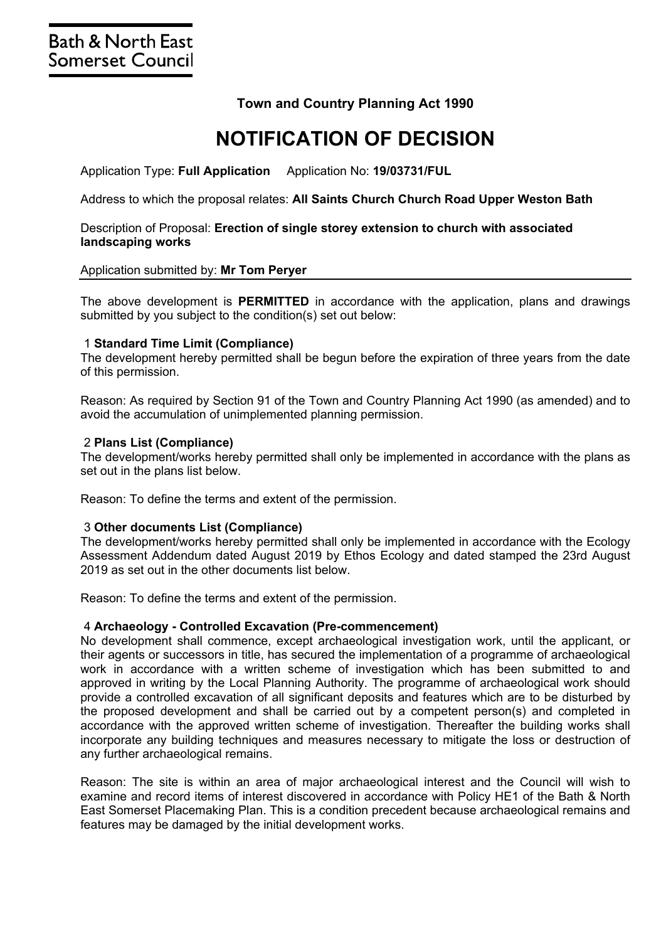# **Town and Country Planning Act 1990**

# **NOTIFICATION OF DECISION**

Application Type: **Full Application** Application No: **19/03731/FUL**

Address to which the proposal relates: **All Saints Church Church Road Upper Weston Bath**

## Description of Proposal: **Erection of single storey extension to church with associated landscaping works**

#### Application submitted by: **Mr Tom Peryer**

The above development is **PERMITTED** in accordance with the application, plans and drawings submitted by you subject to the condition(s) set out below:

#### 1 **Standard Time Limit (Compliance)**

The development hereby permitted shall be begun before the expiration of three years from the date of this permission.

Reason: As required by Section 91 of the Town and Country Planning Act 1990 (as amended) and to avoid the accumulation of unimplemented planning permission.

#### 2 **Plans List (Compliance)**

The development/works hereby permitted shall only be implemented in accordance with the plans as set out in the plans list below.

Reason: To define the terms and extent of the permission.

#### 3 **Other documents List (Compliance)**

The development/works hereby permitted shall only be implemented in accordance with the Ecology Assessment Addendum dated August 2019 by Ethos Ecology and dated stamped the 23rd August 2019 as set out in the other documents list below.

Reason: To define the terms and extent of the permission.

#### 4 **Archaeology - Controlled Excavation (Pre-commencement)**

No development shall commence, except archaeological investigation work, until the applicant, or their agents or successors in title, has secured the implementation of a programme of archaeological work in accordance with a written scheme of investigation which has been submitted to and approved in writing by the Local Planning Authority. The programme of archaeological work should provide a controlled excavation of all significant deposits and features which are to be disturbed by the proposed development and shall be carried out by a competent person(s) and completed in accordance with the approved written scheme of investigation. Thereafter the building works shall incorporate any building techniques and measures necessary to mitigate the loss or destruction of any further archaeological remains.

Reason: The site is within an area of major archaeological interest and the Council will wish to examine and record items of interest discovered in accordance with Policy HE1 of the Bath & North East Somerset Placemaking Plan. This is a condition precedent because archaeological remains and features may be damaged by the initial development works.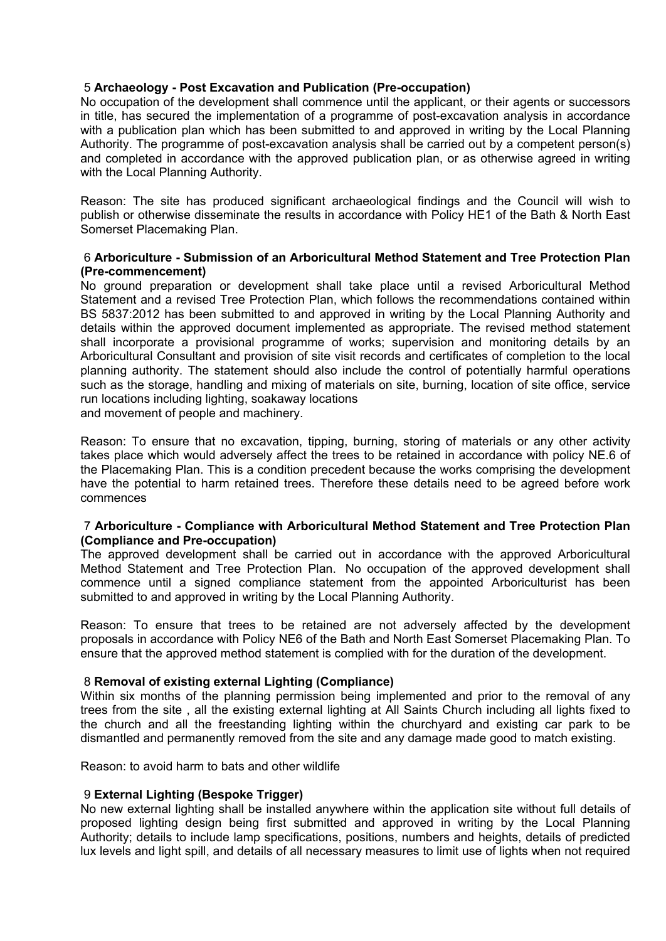## 5 **Archaeology - Post Excavation and Publication (Pre-occupation)**

No occupation of the development shall commence until the applicant, or their agents or successors in title, has secured the implementation of a programme of post-excavation analysis in accordance with a publication plan which has been submitted to and approved in writing by the Local Planning Authority. The programme of post-excavation analysis shall be carried out by a competent person(s) and completed in accordance with the approved publication plan, or as otherwise agreed in writing with the Local Planning Authority.

Reason: The site has produced significant archaeological findings and the Council will wish to publish or otherwise disseminate the results in accordance with Policy HE1 of the Bath & North East Somerset Placemaking Plan.

## 6 **Arboriculture - Submission of an Arboricultural Method Statement and Tree Protection Plan (Pre-commencement)**

No ground preparation or development shall take place until a revised Arboricultural Method Statement and a revised Tree Protection Plan, which follows the recommendations contained within BS 5837:2012 has been submitted to and approved in writing by the Local Planning Authority and details within the approved document implemented as appropriate. The revised method statement shall incorporate a provisional programme of works; supervision and monitoring details by an Arboricultural Consultant and provision of site visit records and certificates of completion to the local planning authority. The statement should also include the control of potentially harmful operations such as the storage, handling and mixing of materials on site, burning, location of site office, service run locations including lighting, soakaway locations

and movement of people and machinery.

Reason: To ensure that no excavation, tipping, burning, storing of materials or any other activity takes place which would adversely affect the trees to be retained in accordance with policy NE.6 of the Placemaking Plan. This is a condition precedent because the works comprising the development have the potential to harm retained trees. Therefore these details need to be agreed before work commences

## 7 **Arboriculture - Compliance with Arboricultural Method Statement and Tree Protection Plan (Compliance and Pre-occupation)**

The approved development shall be carried out in accordance with the approved Arboricultural Method Statement and Tree Protection Plan. No occupation of the approved development shall commence until a signed compliance statement from the appointed Arboriculturist has been submitted to and approved in writing by the Local Planning Authority.

Reason: To ensure that trees to be retained are not adversely affected by the development proposals in accordance with Policy NE6 of the Bath and North East Somerset Placemaking Plan. To ensure that the approved method statement is complied with for the duration of the development.

## 8 **Removal of existing external Lighting (Compliance)**

Within six months of the planning permission being implemented and prior to the removal of any trees from the site , all the existing external lighting at All Saints Church including all lights fixed to the church and all the freestanding lighting within the churchyard and existing car park to be dismantled and permanently removed from the site and any damage made good to match existing.

Reason: to avoid harm to bats and other wildlife

## 9 **External Lighting (Bespoke Trigger)**

No new external lighting shall be installed anywhere within the application site without full details of proposed lighting design being first submitted and approved in writing by the Local Planning Authority; details to include lamp specifications, positions, numbers and heights, details of predicted lux levels and light spill, and details of all necessary measures to limit use of lights when not required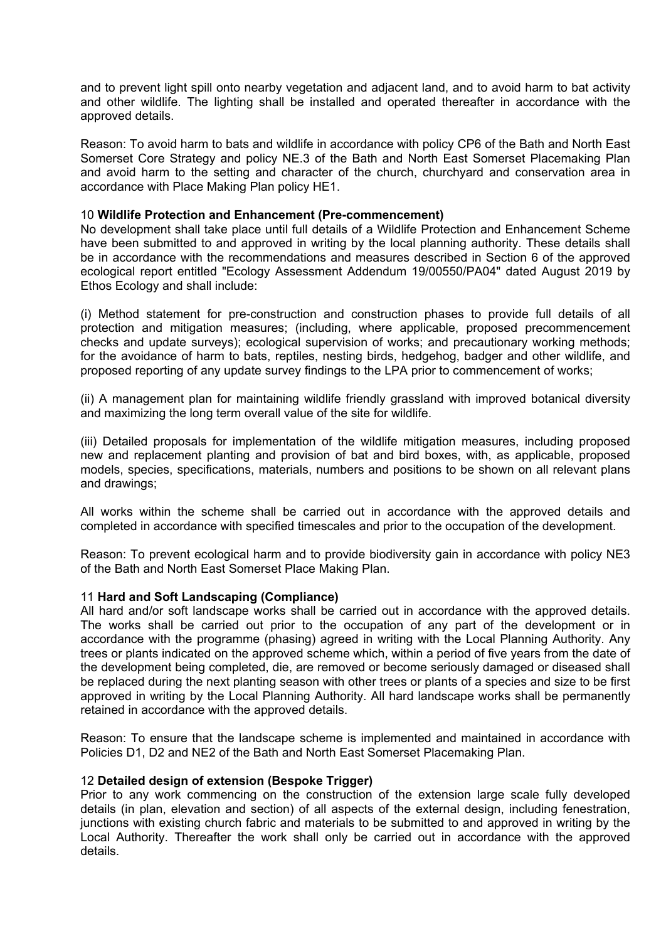and to prevent light spill onto nearby vegetation and adjacent land, and to avoid harm to bat activity and other wildlife. The lighting shall be installed and operated thereafter in accordance with the approved details.

Reason: To avoid harm to bats and wildlife in accordance with policy CP6 of the Bath and North East Somerset Core Strategy and policy NE.3 of the Bath and North East Somerset Placemaking Plan and avoid harm to the setting and character of the church, churchyard and conservation area in accordance with Place Making Plan policy HE1.

### 10 **Wildlife Protection and Enhancement (Pre-commencement)**

No development shall take place until full details of a Wildlife Protection and Enhancement Scheme have been submitted to and approved in writing by the local planning authority. These details shall be in accordance with the recommendations and measures described in Section 6 of the approved ecological report entitled "Ecology Assessment Addendum 19/00550/PA04" dated August 2019 by Ethos Ecology and shall include:

(i) Method statement for pre-construction and construction phases to provide full details of all protection and mitigation measures; (including, where applicable, proposed precommencement checks and update surveys); ecological supervision of works; and precautionary working methods; for the avoidance of harm to bats, reptiles, nesting birds, hedgehog, badger and other wildlife, and proposed reporting of any update survey findings to the LPA prior to commencement of works;

(ii) A management plan for maintaining wildlife friendly grassland with improved botanical diversity and maximizing the long term overall value of the site for wildlife.

(iii) Detailed proposals for implementation of the wildlife mitigation measures, including proposed new and replacement planting and provision of bat and bird boxes, with, as applicable, proposed models, species, specifications, materials, numbers and positions to be shown on all relevant plans and drawings;

All works within the scheme shall be carried out in accordance with the approved details and completed in accordance with specified timescales and prior to the occupation of the development.

Reason: To prevent ecological harm and to provide biodiversity gain in accordance with policy NE3 of the Bath and North East Somerset Place Making Plan.

#### 11 **Hard and Soft Landscaping (Compliance)**

All hard and/or soft landscape works shall be carried out in accordance with the approved details. The works shall be carried out prior to the occupation of any part of the development or in accordance with the programme (phasing) agreed in writing with the Local Planning Authority. Any trees or plants indicated on the approved scheme which, within a period of five years from the date of the development being completed, die, are removed or become seriously damaged or diseased shall be replaced during the next planting season with other trees or plants of a species and size to be first approved in writing by the Local Planning Authority. All hard landscape works shall be permanently retained in accordance with the approved details.

Reason: To ensure that the landscape scheme is implemented and maintained in accordance with Policies D1, D2 and NE2 of the Bath and North East Somerset Placemaking Plan.

#### 12 **Detailed design of extension (Bespoke Trigger)**

Prior to any work commencing on the construction of the extension large scale fully developed details (in plan, elevation and section) of all aspects of the external design, including fenestration, junctions with existing church fabric and materials to be submitted to and approved in writing by the Local Authority. Thereafter the work shall only be carried out in accordance with the approved details.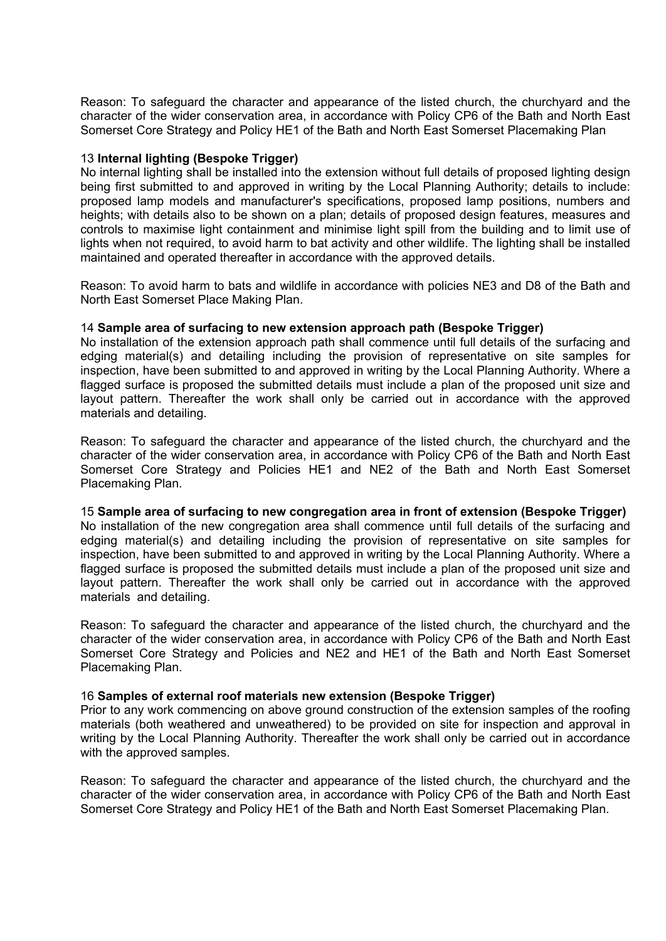Reason: To safeguard the character and appearance of the listed church, the churchyard and the character of the wider conservation area, in accordance with Policy CP6 of the Bath and North East Somerset Core Strategy and Policy HE1 of the Bath and North East Somerset Placemaking Plan

#### 13 **Internal lighting (Bespoke Trigger)**

No internal lighting shall be installed into the extension without full details of proposed lighting design being first submitted to and approved in writing by the Local Planning Authority; details to include: proposed lamp models and manufacturer's specifications, proposed lamp positions, numbers and heights; with details also to be shown on a plan; details of proposed design features, measures and controls to maximise light containment and minimise light spill from the building and to limit use of lights when not required, to avoid harm to bat activity and other wildlife. The lighting shall be installed maintained and operated thereafter in accordance with the approved details.

Reason: To avoid harm to bats and wildlife in accordance with policies NE3 and D8 of the Bath and North East Somerset Place Making Plan.

## 14 **Sample area of surfacing to new extension approach path (Bespoke Trigger)**

No installation of the extension approach path shall commence until full details of the surfacing and edging material(s) and detailing including the provision of representative on site samples for inspection, have been submitted to and approved in writing by the Local Planning Authority. Where a flagged surface is proposed the submitted details must include a plan of the proposed unit size and layout pattern. Thereafter the work shall only be carried out in accordance with the approved materials and detailing.

Reason: To safeguard the character and appearance of the listed church, the churchyard and the character of the wider conservation area, in accordance with Policy CP6 of the Bath and North East Somerset Core Strategy and Policies HE1 and NE2 of the Bath and North East Somerset Placemaking Plan.

15 **Sample area of surfacing to new congregation area in front of extension (Bespoke Trigger)** No installation of the new congregation area shall commence until full details of the surfacing and edging material(s) and detailing including the provision of representative on site samples for inspection, have been submitted to and approved in writing by the Local Planning Authority. Where a flagged surface is proposed the submitted details must include a plan of the proposed unit size and layout pattern. Thereafter the work shall only be carried out in accordance with the approved materials and detailing.

Reason: To safeguard the character and appearance of the listed church, the churchyard and the character of the wider conservation area, in accordance with Policy CP6 of the Bath and North East Somerset Core Strategy and Policies and NE2 and HE1 of the Bath and North East Somerset Placemaking Plan.

#### 16 **Samples of external roof materials new extension (Bespoke Trigger)**

Prior to any work commencing on above ground construction of the extension samples of the roofing materials (both weathered and unweathered) to be provided on site for inspection and approval in writing by the Local Planning Authority. Thereafter the work shall only be carried out in accordance with the approved samples.

Reason: To safeguard the character and appearance of the listed church, the churchyard and the character of the wider conservation area, in accordance with Policy CP6 of the Bath and North East Somerset Core Strategy and Policy HE1 of the Bath and North East Somerset Placemaking Plan.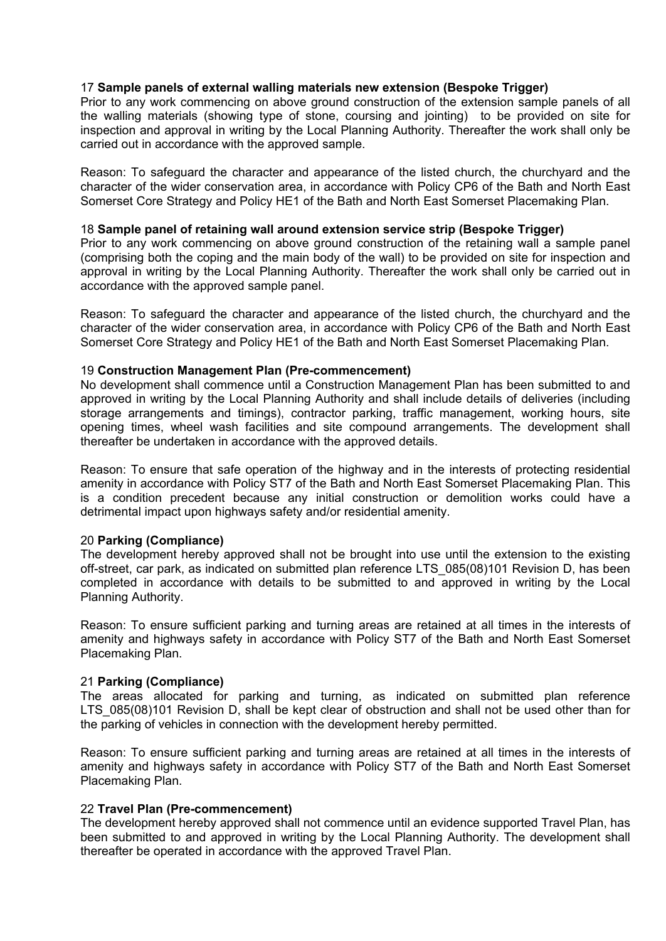## 17 **Sample panels of external walling materials new extension (Bespoke Trigger)**

Prior to any work commencing on above ground construction of the extension sample panels of all the walling materials (showing type of stone, coursing and jointing) to be provided on site for inspection and approval in writing by the Local Planning Authority. Thereafter the work shall only be carried out in accordance with the approved sample.

Reason: To safeguard the character and appearance of the listed church, the churchyard and the character of the wider conservation area, in accordance with Policy CP6 of the Bath and North East Somerset Core Strategy and Policy HE1 of the Bath and North East Somerset Placemaking Plan.

## 18 **Sample panel of retaining wall around extension service strip (Bespoke Trigger)**

Prior to any work commencing on above ground construction of the retaining wall a sample panel (comprising both the coping and the main body of the wall) to be provided on site for inspection and approval in writing by the Local Planning Authority. Thereafter the work shall only be carried out in accordance with the approved sample panel.

Reason: To safeguard the character and appearance of the listed church, the churchyard and the character of the wider conservation area, in accordance with Policy CP6 of the Bath and North East Somerset Core Strategy and Policy HE1 of the Bath and North East Somerset Placemaking Plan.

#### 19 **Construction Management Plan (Pre-commencement)**

No development shall commence until a Construction Management Plan has been submitted to and approved in writing by the Local Planning Authority and shall include details of deliveries (including storage arrangements and timings), contractor parking, traffic management, working hours, site opening times, wheel wash facilities and site compound arrangements. The development shall thereafter be undertaken in accordance with the approved details.

Reason: To ensure that safe operation of the highway and in the interests of protecting residential amenity in accordance with Policy ST7 of the Bath and North East Somerset Placemaking Plan. This is a condition precedent because any initial construction or demolition works could have a detrimental impact upon highways safety and/or residential amenity.

#### 20 **Parking (Compliance)**

The development hereby approved shall not be brought into use until the extension to the existing off-street, car park, as indicated on submitted plan reference LTS\_085(08)101 Revision D, has been completed in accordance with details to be submitted to and approved in writing by the Local Planning Authority.

Reason: To ensure sufficient parking and turning areas are retained at all times in the interests of amenity and highways safety in accordance with Policy ST7 of the Bath and North East Somerset Placemaking Plan.

#### 21 **Parking (Compliance)**

The areas allocated for parking and turning, as indicated on submitted plan reference LTS 085(08)101 Revision D, shall be kept clear of obstruction and shall not be used other than for the parking of vehicles in connection with the development hereby permitted.

Reason: To ensure sufficient parking and turning areas are retained at all times in the interests of amenity and highways safety in accordance with Policy ST7 of the Bath and North East Somerset Placemaking Plan.

#### 22 **Travel Plan (Pre-commencement)**

The development hereby approved shall not commence until an evidence supported Travel Plan, has been submitted to and approved in writing by the Local Planning Authority. The development shall thereafter be operated in accordance with the approved Travel Plan.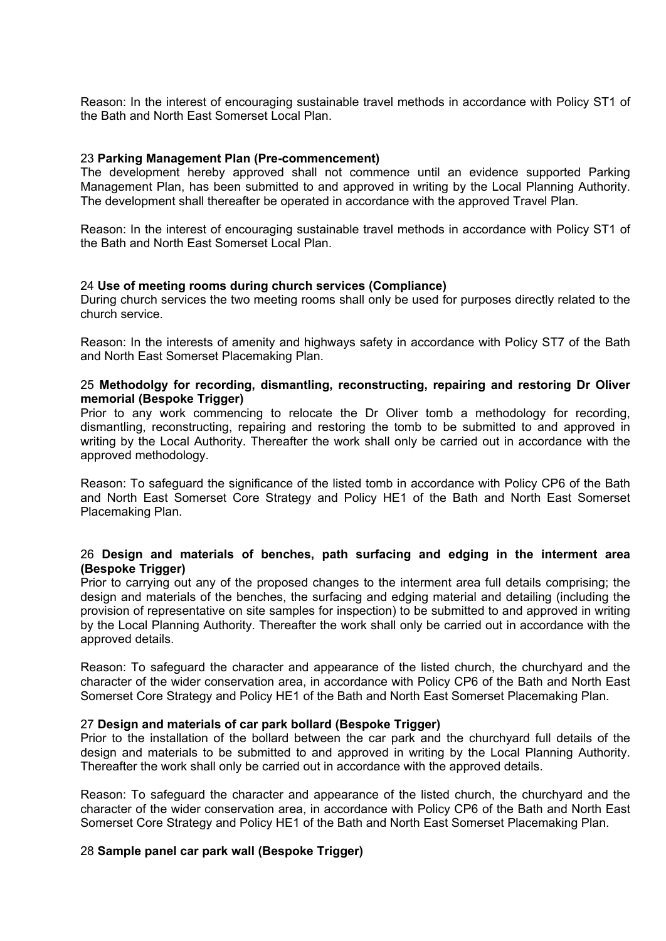Reason: In the interest of encouraging sustainable travel methods in accordance with Policy ST1 of the Bath and North East Somerset Local Plan.

#### 23 **Parking Management Plan (Pre-commencement)**

The development hereby approved shall not commence until an evidence supported Parking Management Plan, has been submitted to and approved in writing by the Local Planning Authority. The development shall thereafter be operated in accordance with the approved Travel Plan.

Reason: In the interest of encouraging sustainable travel methods in accordance with Policy ST1 of the Bath and North East Somerset Local Plan.

#### 24 **Use of meeting rooms during church services (Compliance)**

During church services the two meeting rooms shall only be used for purposes directly related to the church service.

Reason: In the interests of amenity and highways safety in accordance with Policy ST7 of the Bath and North East Somerset Placemaking Plan.

#### 25 **Methodolgy for recording, dismantling, reconstructing, repairing and restoring Dr Oliver memorial (Bespoke Trigger)**

Prior to any work commencing to relocate the Dr Oliver tomb a methodology for recording, dismantling, reconstructing, repairing and restoring the tomb to be submitted to and approved in writing by the Local Authority. Thereafter the work shall only be carried out in accordance with the approved methodology.

Reason: To safeguard the significance of the listed tomb in accordance with Policy CP6 of the Bath and North East Somerset Core Strategy and Policy HE1 of the Bath and North East Somerset Placemaking Plan.

#### 26 **Design and materials of benches, path surfacing and edging in the interment area (Bespoke Trigger)**

Prior to carrying out any of the proposed changes to the interment area full details comprising; the design and materials of the benches, the surfacing and edging material and detailing (including the provision of representative on site samples for inspection) to be submitted to and approved in writing by the Local Planning Authority. Thereafter the work shall only be carried out in accordance with the approved details.

Reason: To safeguard the character and appearance of the listed church, the churchyard and the character of the wider conservation area, in accordance with Policy CP6 of the Bath and North East Somerset Core Strategy and Policy HE1 of the Bath and North East Somerset Placemaking Plan.

#### 27 **Design and materials of car park bollard (Bespoke Trigger)**

Prior to the installation of the bollard between the car park and the churchyard full details of the design and materials to be submitted to and approved in writing by the Local Planning Authority. Thereafter the work shall only be carried out in accordance with the approved details.

Reason: To safeguard the character and appearance of the listed church, the churchyard and the character of the wider conservation area, in accordance with Policy CP6 of the Bath and North East Somerset Core Strategy and Policy HE1 of the Bath and North East Somerset Placemaking Plan.

#### 28 **Sample panel car park wall (Bespoke Trigger)**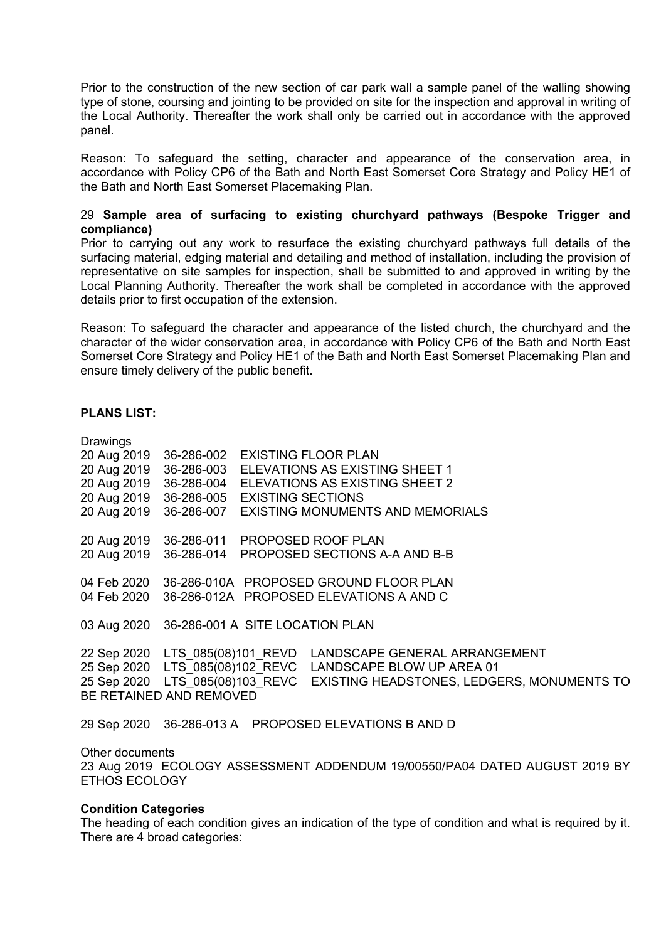Prior to the construction of the new section of car park wall a sample panel of the walling showing type of stone, coursing and jointing to be provided on site for the inspection and approval in writing of the Local Authority. Thereafter the work shall only be carried out in accordance with the approved panel.

Reason: To safeguard the setting, character and appearance of the conservation area, in accordance with Policy CP6 of the Bath and North East Somerset Core Strategy and Policy HE1 of the Bath and North East Somerset Placemaking Plan.

### 29 **Sample area of surfacing to existing churchyard pathways (Bespoke Trigger and compliance)**

Prior to carrying out any work to resurface the existing churchyard pathways full details of the surfacing material, edging material and detailing and method of installation, including the provision of representative on site samples for inspection, shall be submitted to and approved in writing by the Local Planning Authority. Thereafter the work shall be completed in accordance with the approved details prior to first occupation of the extension.

Reason: To safeguard the character and appearance of the listed church, the churchyard and the character of the wider conservation area, in accordance with Policy CP6 of the Bath and North East Somerset Core Strategy and Policy HE1 of the Bath and North East Somerset Placemaking Plan and ensure timely delivery of the public benefit.

## **PLANS LIST:**

| Drawings               |                                                               |                                         |  |                                                                            |
|------------------------|---------------------------------------------------------------|-----------------------------------------|--|----------------------------------------------------------------------------|
| 20 Aug 2019 36-286-002 |                                                               | <b>EXISTING FLOOR PLAN</b>              |  |                                                                            |
|                        | 20 Aug 2019 36-286-003 ELEVATIONS AS EXISTING SHEET 1         |                                         |  |                                                                            |
|                        | 20 Aug 2019 36-286-004 ELEVATIONS AS EXISTING SHEET 2         |                                         |  |                                                                            |
|                        | 20 Aug 2019 36-286-005 EXISTING SECTIONS                      |                                         |  |                                                                            |
| 20 Aug 2019 36-286-007 |                                                               | <b>EXISTING MONUMENTS AND MEMORIALS</b> |  |                                                                            |
|                        | 20 Aug 2019 36-286-011 PROPOSED ROOF PLAN                     |                                         |  |                                                                            |
|                        | 20 Aug 2019 36-286-014 PROPOSED SECTIONS A-A AND B-B          |                                         |  |                                                                            |
|                        | 04 Feb 2020 36-286-010A PROPOSED GROUND FLOOR PLAN            |                                         |  |                                                                            |
|                        | 04 Feb 2020 36-286-012A PROPOSED ELEVATIONS A AND C           |                                         |  |                                                                            |
|                        | 03 Aug 2020 36-286-001 A SITE LOCATION PLAN                   |                                         |  |                                                                            |
|                        | 22 Sep 2020 LTS 085(08)101 REVD LANDSCAPE GENERAL ARRANGEMENT |                                         |  |                                                                            |
|                        | 25 Sep 2020 LTS 085(08)102 REVC LANDSCAPE BLOW UP AREA 01     |                                         |  |                                                                            |
|                        | BE RETAINED AND REMOVED                                       |                                         |  | 25 Sep 2020 LTS 085(08)103 REVC EXISTING HEADSTONES, LEDGERS, MONUMENTS TO |
|                        | 29 Sep 2020 36-286-013 A PROPOSED ELEVATIONS B AND D          |                                         |  |                                                                            |

Other documents 23 Aug 2019 ECOLOGY ASSESSMENT ADDENDUM 19/00550/PA04 DATED AUGUST 2019 BY ETHOS ECOLOGY

#### **Condition Categories**

The heading of each condition gives an indication of the type of condition and what is required by it. There are 4 broad categories: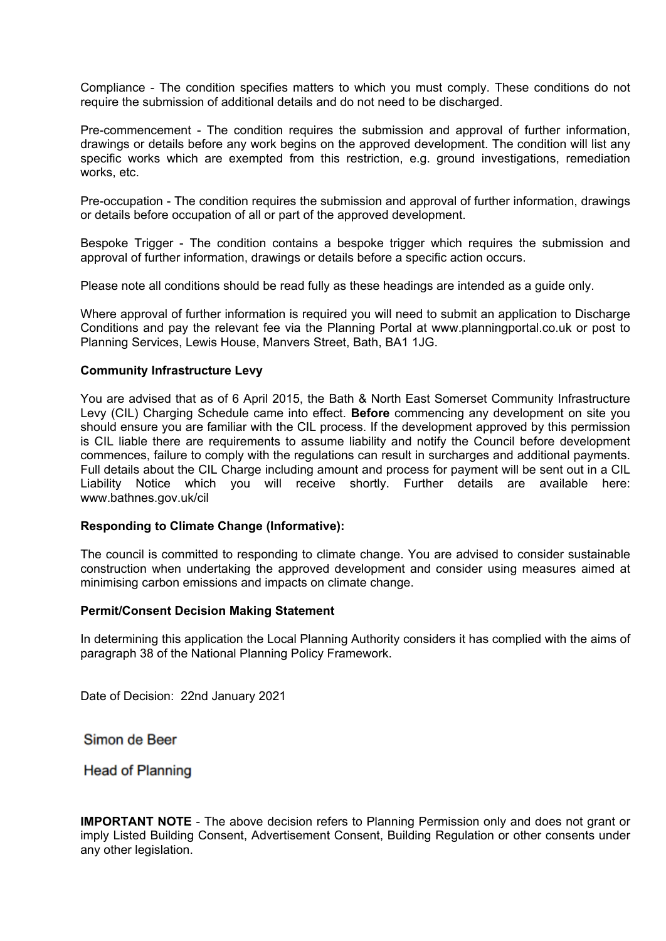Compliance - The condition specifies matters to which you must comply. These conditions do not require the submission of additional details and do not need to be discharged.

Pre-commencement - The condition requires the submission and approval of further information, drawings or details before any work begins on the approved development. The condition will list any specific works which are exempted from this restriction, e.g. ground investigations, remediation works, etc.

Pre-occupation - The condition requires the submission and approval of further information, drawings or details before occupation of all or part of the approved development.

Bespoke Trigger - The condition contains a bespoke trigger which requires the submission and approval of further information, drawings or details before a specific action occurs.

Please note all conditions should be read fully as these headings are intended as a guide only.

Where approval of further information is required you will need to submit an application to Discharge Conditions and pay the relevant fee via the Planning Portal at www.planningportal.co.uk or post to Planning Services, Lewis House, Manvers Street, Bath, BA1 1JG.

## **Community Infrastructure Levy**

You are advised that as of 6 April 2015, the Bath & North East Somerset Community Infrastructure Levy (CIL) Charging Schedule came into effect. **Before** commencing any development on site you should ensure you are familiar with the CIL process. If the development approved by this permission is CIL liable there are requirements to assume liability and notify the Council before development commences, failure to comply with the regulations can result in surcharges and additional payments. Full details about the CIL Charge including amount and process for payment will be sent out in a CIL Liability Notice which you will receive shortly. Further details are available here: www.bathnes.gov.uk/cil

## **Responding to Climate Change (Informative):**

The council is committed to responding to climate change. You are advised to consider sustainable construction when undertaking the approved development and consider using measures aimed at minimising carbon emissions and impacts on climate change.

#### **Permit/Consent Decision Making Statement**

In determining this application the Local Planning Authority considers it has complied with the aims of paragraph 38 of the National Planning Policy Framework.

Date of Decision: 22nd January 2021

Simon de Beer

**Head of Planning** 

**IMPORTANT NOTE** - The above decision refers to Planning Permission only and does not grant or imply Listed Building Consent, Advertisement Consent, Building Regulation or other consents under any other legislation.